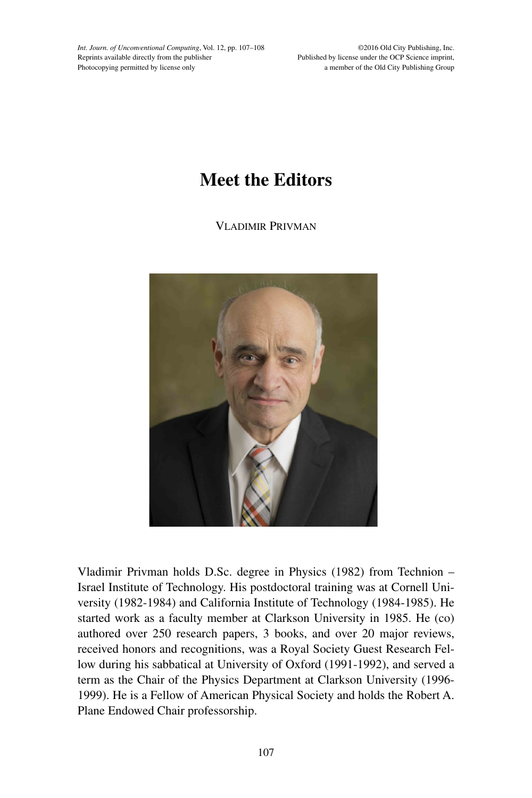*Int. Journ. of Unconventional Computing*, Vol. 12, pp. 107–108 Reprints available directly from the publisher Photocopying permitted by license only

©2016 Old City Publishing, Inc. Published by license under the OCP Science imprint, a member of the Old City Publishing Group

## **Meet the Editors**

Vladimir Privman



Vladimir Privman holds D.Sc. degree in Physics (1982) from Technion – Israel Institute of Technology. His postdoctoral training was at Cornell University (1982-1984) and California Institute of Technology (1984-1985). He started work as a faculty member at Clarkson University in 1985. He (co) authored over 250 research papers, 3 books, and over 20 major reviews, received honors and recognitions, was a Royal Society Guest Research Fellow during his sabbatical at University of Oxford (1991-1992), and served a term as the Chair of the Physics Department at Clarkson University (1996- 1999). He is a Fellow of American Physical Society and holds the Robert A. Plane Endowed Chair professorship.